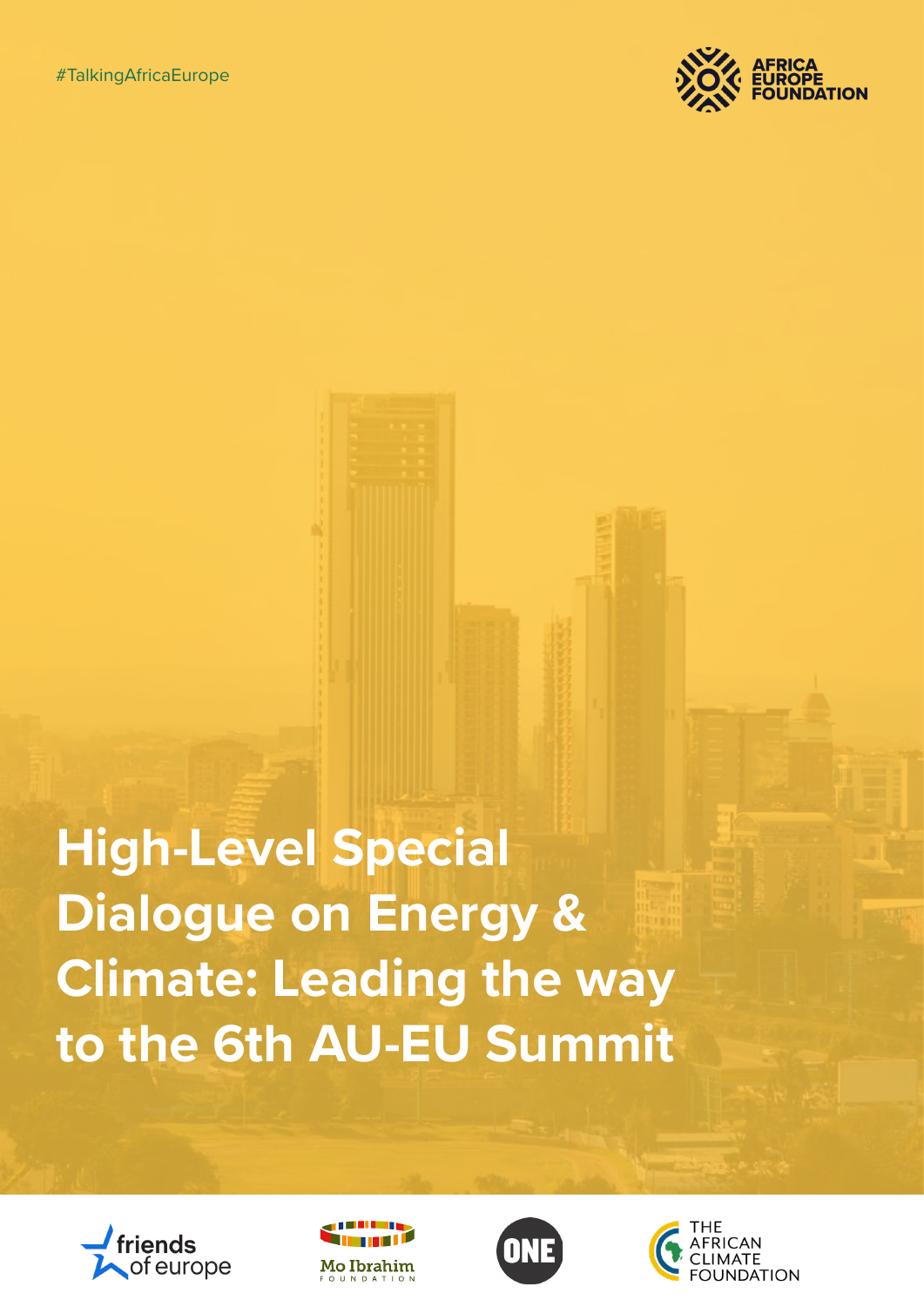

**High-Level Special Dialogue on Energy & Climate: Leading the way to the 6th AU-EU Summit**







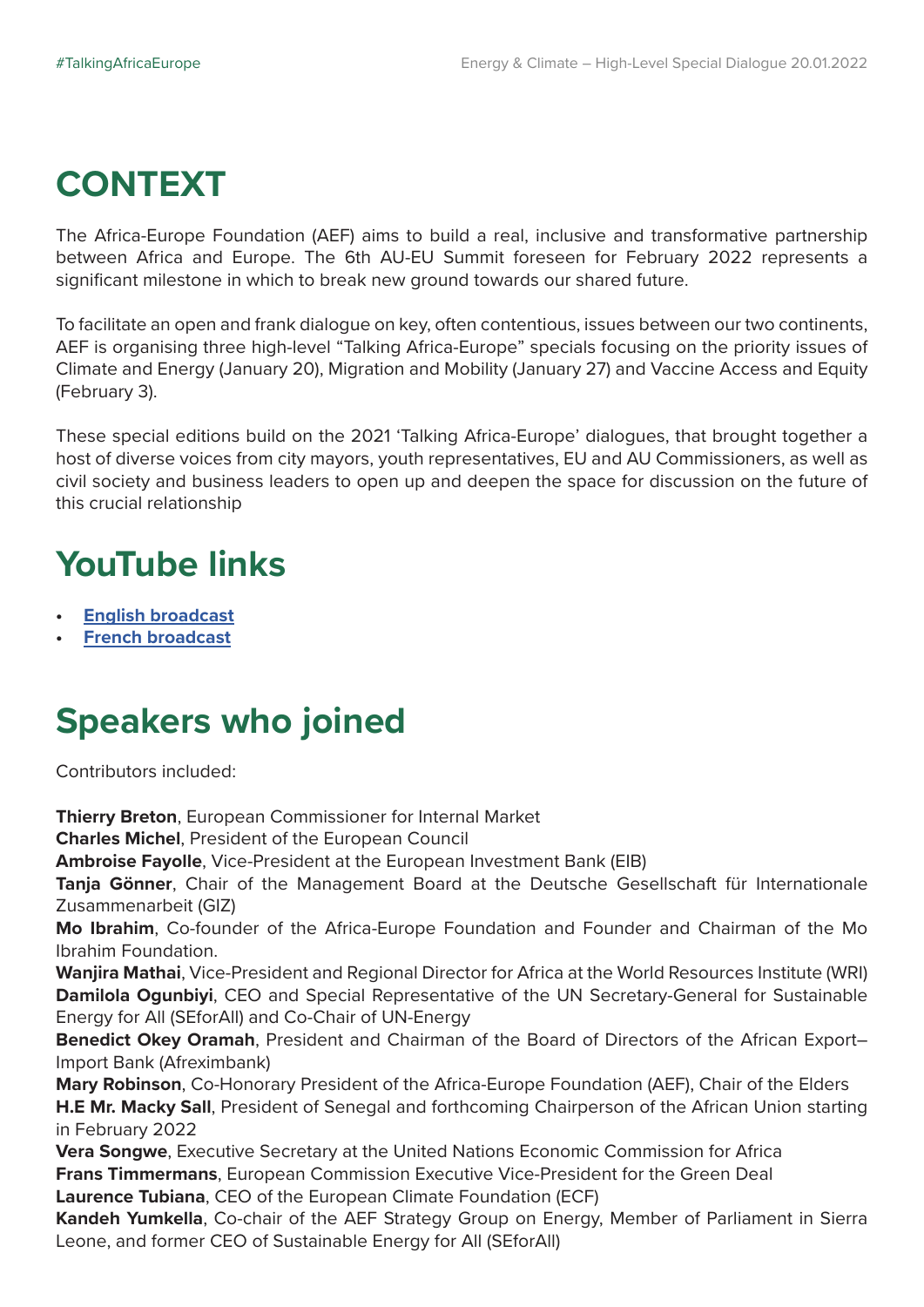## **CONTEXT**

The Africa-Europe Foundation (AEF) aims to build a real, inclusive and transformative partnership between Africa and Europe. The 6th AU-EU Summit foreseen for February 2022 represents a significant milestone in which to break new ground towards our shared future.

To facilitate an open and frank dialogue on key, often contentious, issues between our two continents, AEF is organising three high-level "Talking Africa-Europe" specials focusing on the priority issues of Climate and Energy (January 20), Migration and Mobility (January 27) and Vaccine Access and Equity (February 3).

These special editions build on the 2021 'Talking Africa-Europe' dialogues, that brought together a host of diverse voices from city mayors, youth representatives, EU and AU Commissioners, as well as civil society and business leaders to open up and deepen the space for discussion on the future of this crucial relationship

## **YouTube links**

- **• [English broadcast](https://www.youtube.com/watch?v=tVuzQDTCH94&ab_channel=Africa-EuropeFoundation)**
- **• [French broadcast](https://www.youtube.com/watch?v=Zz25evsyXKY&ab_channel=Africa-EuropeFoundation)**

## **Speakers who joined**

Contributors included:

**Thierry Breton**, European Commissioner for Internal Market **Charles Michel**, President of the European Council **Ambroise Fayolle**, Vice-President at the European Investment Bank (EIB) **Tanja Gönner**, Chair of the Management Board at the Deutsche Gesellschaft für Internationale Zusammenarbeit (GIZ) **Mo Ibrahim**, Co-founder of the Africa-Europe Foundation and Founder and Chairman of the Mo Ibrahim Foundation. **Wanjira Mathai**, Vice-President and Regional Director for Africa at the World Resources Institute (WRI) **Damilola Ogunbiyi**, CEO and Special Representative of the UN Secretary-General for Sustainable Energy for All (SEforAll) and Co-Chair of UN-Energy **Benedict Okey Oramah**, President and Chairman of the Board of Directors of the African Export– Import Bank (Afreximbank) **Mary Robinson**, Co-Honorary President of the Africa-Europe Foundation (AEF), Chair of the Elders **H.E Mr. Macky Sall**, President of Senegal and forthcoming Chairperson of the African Union starting in February 2022 **Vera Songwe**, Executive Secretary at the United Nations Economic Commission for Africa **Frans Timmermans**, European Commission Executive Vice-President for the Green Deal **Laurence Tubiana**, CEO of the European Climate Foundation (ECF) **Kandeh Yumkella**, Co-chair of the AEF Strategy Group on Energy, Member of Parliament in Sierra Leone, and former CEO of Sustainable Energy for All (SEforAll)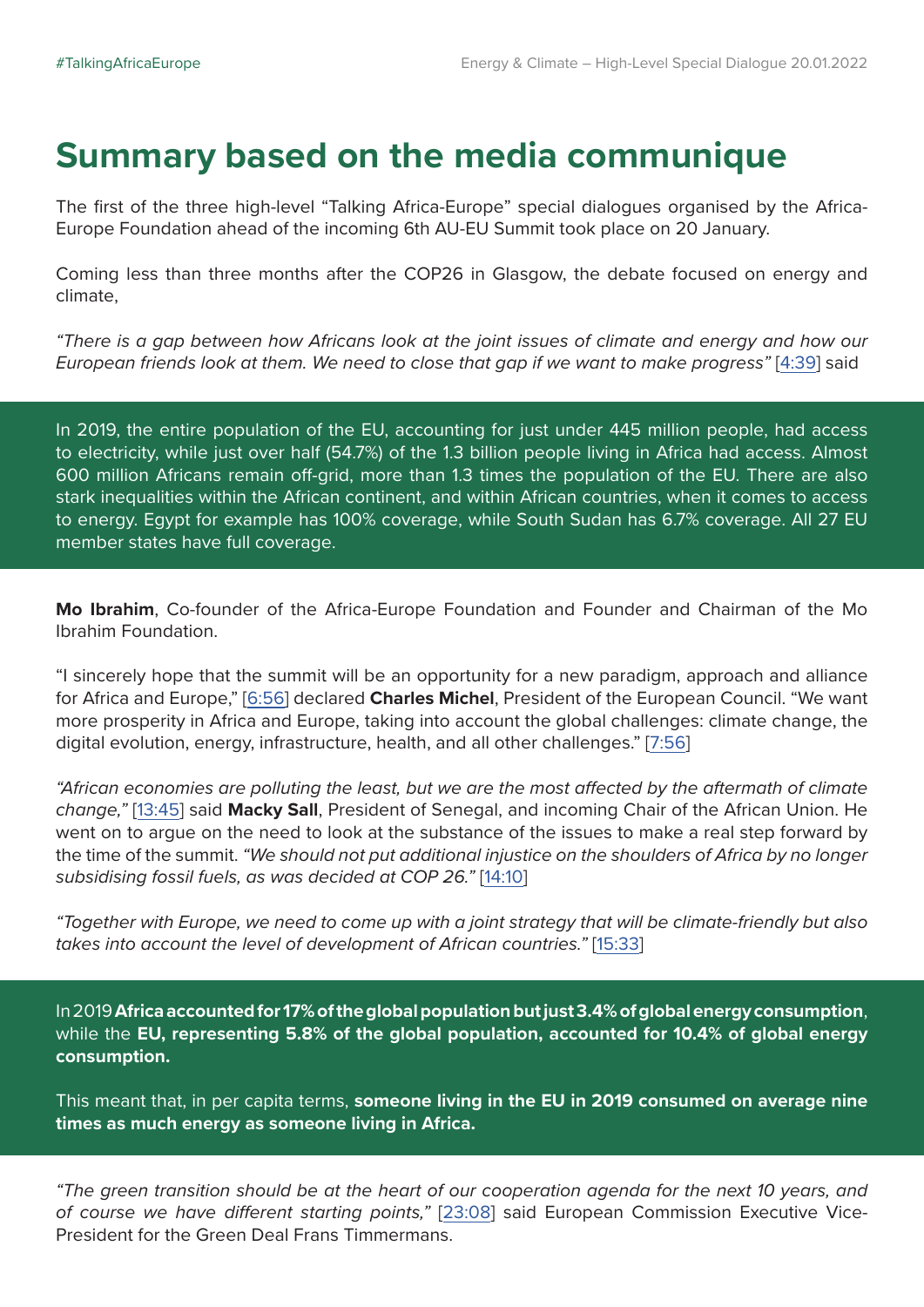## **Summary based on the media communique**

The first of the three high-level "Talking Africa-Europe" special dialogues organised by the Africa-Europe Foundation ahead of the incoming 6th AU-EU Summit took place on 20 January.

Coming less than three months after the COP26 in Glasgow, the debate focused on energy and climate,

*"There is a gap between how Africans look at the joint issues of climate and energy and how our European friends look at them. We need to close that gap if we want to make progress"* [[4:39](https://www.youtube.com/watch?app=desktop&v=WTOWyQusHpc&t=277s)] said

In 2019, the entire population of the EU, accounting for just under 445 million people, had access to electricity, while just over half (54.7%) of the 1.3 billion people living in Africa had access. Almost 600 million Africans remain off-grid, more than 1.3 times the population of the EU. There are also stark inequalities within the African continent, and within African countries, when it comes to access to energy. Egypt for example has 100% coverage, while South Sudan has 6.7% coverage. All 27 EU member states have full coverage.

**Mo Ibrahim**, Co-founder of the Africa-Europe Foundation and Founder and Chairman of the Mo Ibrahim Foundation.

"I sincerely hope that the summit will be an opportunity for a new paradigm, approach and alliance for Africa and Europe," [\[6:56](https://www.youtube.com/watch?v=WTOWyQusHpc&t=848s)] declared **Charles Michel**, President of the European Council. "We want more prosperity in Africa and Europe, taking into account the global challenges: climate change, the digital evolution, energy, infrastructure, health, and all other challenges." [[7:56\]](https://youtu.be/WTOWyQusHpc?t=476)

*"African economies are polluting the least, but we are the most affected by the aftermath of climate change,"* [\[13:45\]](https://www.youtube.com/watch?app=desktop&v=WTOWyQusHpc&t=823s) said **Macky Sall**, President of Senegal, and incoming Chair of the African Union. He went on to argue on the need to look at the substance of the issues to make a real step forward by the time of the summit. *"We should not put additional injustice on the shoulders of Africa by no longer subsidising fossil fuels, as was decided at COP 26."* [\[14:10](https://youtu.be/WTOWyQusHpc?t=848)]

*"Together with Europe, we need to come up with a joint strategy that will be climate-friendly but also takes into account the level of development of African countries."* [[15:33\]](https://www.youtube.com/watch?app=desktop&v=WTOWyQusHpc&t=934s)

In 2019 **Africa accounted for 17% of the global population but just 3.4% of global energy consumption**, while the **EU, representing 5.8% of the global population, accounted for 10.4% of global energy consumption.**

This meant that, in per capita terms, **someone living in the EU in 2019 consumed on average nine times as much energy as someone living in Africa.** 

*"The green transition should be at the heart of our cooperation agenda for the next 10 years, and of course we have different starting points,"* [\[23:08](https://www.youtube.com/watch?app=desktop&v=WTOWyQusHpc&t=1387s)] said European Commission Executive Vice-President for the Green Deal Frans Timmermans.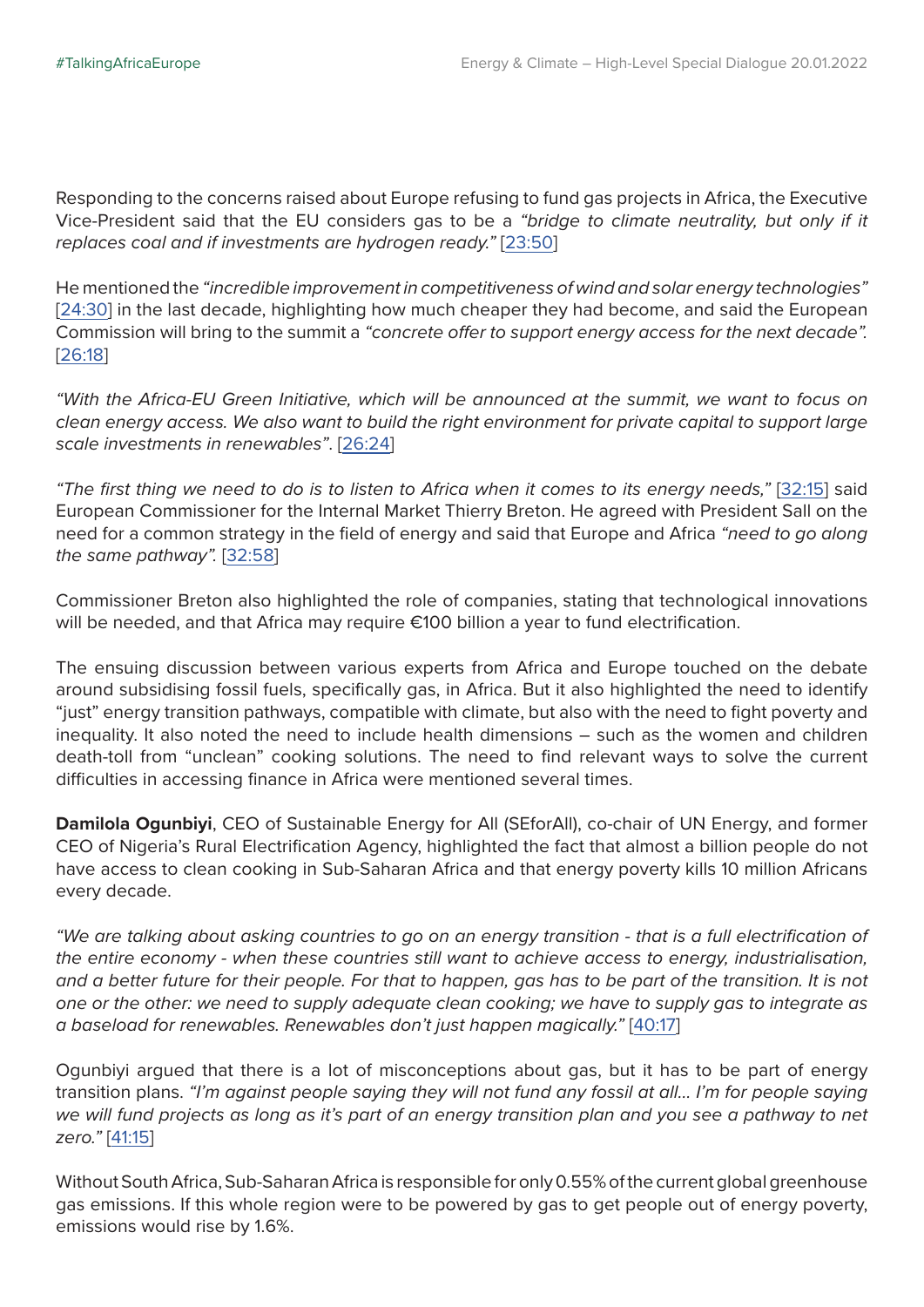Responding to the concerns raised about Europe refusing to fund gas projects in Africa, the Executive Vice-President said that the EU considers gas to be a *"bridge to climate neutrality, but only if it replaces coal and if investments are hydrogen ready."* [[23:50\]](https://www.youtube.com/watch?app=desktop&v=WTOWyQusHpc&t=1440s)

He mentioned the *"incredible improvement in competitiveness of wind and solar energy technologies"* [[24:30](https://www.youtube.com/watch?app=desktop&v=WTOWyQusHpc&t=1580s)] in the last decade, highlighting how much cheaper they had become, and said the European Commission will bring to the summit a *"concrete offer to support energy access for the next decade".* [[26:18\]](https://www.youtube.com/watch?app=desktop&v=WTOWyQusHpc&t=1580s)

*"With the Africa-EU Green Initiative, which will be announced at the summit, we want to focus on clean energy access. We also want to build the right environment for private capital to support large scale investments in renewables"*. [[26:24](https://youtu.be/WTOWyQusHpc?t=1584)]

*"The first thing we need to do is to listen to Africa when it comes to its energy needs,"* [\[32:15](https://www.youtube.com/watch?app=desktop&v=WTOWyQusHpc&t=1935s)] said European Commissioner for the Internal Market Thierry Breton. He agreed with President Sall on the need for a common strategy in the field of energy and said that Europe and Africa *"need to go along the same pathway".* [\[32:58\]](https://youtu.be/WTOWyQusHpc?t=1978)

Commissioner Breton also highlighted the role of companies, stating that technological innovations will be needed, and that Africa may require €100 billion a year to fund electrification.

The ensuing discussion between various experts from Africa and Europe touched on the debate around subsidising fossil fuels, specifically gas, in Africa. But it also highlighted the need to identify "just" energy transition pathways, compatible with climate, but also with the need to fight poverty and inequality. It also noted the need to include health dimensions – such as the women and children death-toll from "unclean" cooking solutions. The need to find relevant ways to solve the current difficulties in accessing finance in Africa were mentioned several times.

**Damilola Ogunbiyi**, CEO of Sustainable Energy for All (SEforAll), co-chair of UN Energy, and former CEO of Nigeria's Rural Electrification Agency, highlighted the fact that almost a billion people do not have access to clean cooking in Sub-Saharan Africa and that energy poverty kills 10 million Africans every decade.

*"We are talking about asking countries to go on an energy transition - that is a full electrification of the entire economy - when these countries still want to achieve access to energy, industrialisation, and a better future for their people. For that to happen, gas has to be part of the transition. It is not one or the other: we need to supply adequate clean cooking; we have to supply gas to integrate as a baseload for renewables. Renewables don't just happen magically."* [\[40:17](https://youtu.be/WTOWyQusHpc?t=2417)]

Ogunbiyi argued that there is a lot of misconceptions about gas, but it has to be part of energy transition plans. *"I'm against people saying they will not fund any fossil at all… I'm for people saying we will fund projects as long as it's part of an energy transition plan and you see a pathway to net zero."* [[41:15](https://youtu.be/WTOWyQusHpc?t=2475)]

Without South Africa, Sub-Saharan Africa is responsible for only 0.55% of the current global greenhouse gas emissions. If this whole region were to be powered by gas to get people out of energy poverty, emissions would rise by 1.6%.